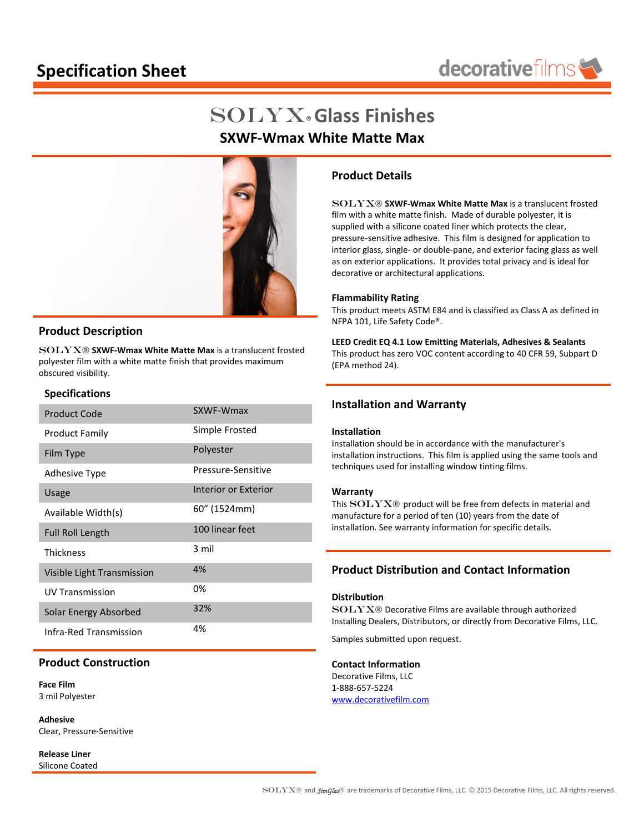# **Specification Sheet**



# Solyx®**Glass Finishes SXWF-Wmax White Matte Max**



## **Product Description**

SOLYX **SXWF-Wmax White Matte Max** is a translucent frosted polyester film with a white matte finish that provides maximum obscured visibility.

#### **Specifications**

| <b>Product Code</b>          | SXWF-Wmax            |
|------------------------------|----------------------|
| <b>Product Family</b>        | Simple Frosted       |
| Film Type                    | Polyester            |
| <b>Adhesive Type</b>         | Pressure-Sensitive   |
| Usage                        | Interior or Exterior |
| Available Width(s)           | 60" (1524mm)         |
| <b>Full Roll Length</b>      | 100 linear feet      |
| <b>Thickness</b>             | 3 mil                |
| Visible Light Transmission   | 4%                   |
| <b>UV Transmission</b>       | 0%                   |
| <b>Solar Energy Absorbed</b> | 32%                  |
| Infra-Red Transmission       | 4%                   |

## **Product Construction**

**Face Film** 3 mil Polyester

**Adhesive** Clear, Pressure-Sensitive

**Release Liner** Silicone Coated

## **Product Details**

SOLYX **SXWF-Wmax White Matte Max** is a translucent frosted film with a white matte finish. Made of durable polyester, it is supplied with a silicone coated liner which protects the clear, pressure-sensitive adhesive. This film is designed for application to interior glass, single- or double-pane, and exterior facing glass as well as on exterior applications. It provides total privacy and is ideal for decorative or architectural applications.

#### **Flammability Rating**

This product meets ASTM E84 and is classified as Class A as defined in NFPA 101, Life Safety Code®.

**LEED Credit EQ 4.1 Low Emitting Materials, Adhesives & Sealants** This product has zero VOC content according to 40 CFR 59, Subpart D (EPA method 24).

## **Installation and Warranty**

#### **Installation**

Installation should be in accordance with the manufacturer's installation instructions. This film is applied using the same tools and techniques used for installing window tinting films.

#### **Warranty**

This  $SOLYX@$  product will be free from defects in material and manufacture for a period of ten (10) years from the date of installation. See warranty information for specific details.

## **Product Distribution and Contact Information**

#### **Distribution**

SOLYX<sup>®</sup> Decorative Films are available through authorized Installing Dealers, Distributors, or directly from Decorative Films, LLC.

Samples submitted upon request.

### **Contact Information**

Decorative Films, LLC 1-888-657-5224 [www.decorativefilm.com](http://www.decorativefilm.com/)